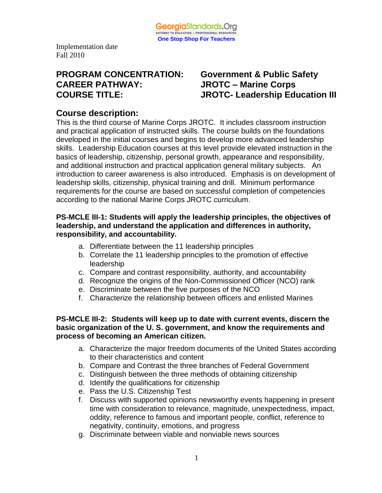

# **PROGRAM CONCENTRATION: Government & Public Safety CAREER PATHWAY: JROTC – Marine Corps**

# **COURSE TITLE: JROTC- Leadership Education III**

# **Course description:**

This is the third course of Marine Corps JROTC. It includes classroom instruction and practical application of instructed skills. The course builds on the foundations developed in the initial courses and begins to develop more advanced leadership skills. Leadership Education courses at this level provide elevated instruction in the basics of leadership, citizenship, personal growth, appearance and responsibility, and additional instruction and practical application general military subjects. An introduction to career awareness is also introduced. Emphasis is on development of leadership skills, citizenship, physical training and drill. Minimum performance requirements for the course are based on successful completion of competencies according to the national Marine Corps JROTC curriculum.

#### **PS-MCLE III-1: Students will apply the leadership principles, the objectives of leadership, and understand the application and differences in authority, responsibility, and accountability.**

- a. Differentiate between the 11 leadership principles
- b. Correlate the 11 leadership principles to the promotion of effective leadership
- c. Compare and contrast responsibility, authority, and accountability
- d. Recognize the origins of the Non-Commissioned Officer (NCO) rank
- e. Discriminate between the five purposes of the NCO
- f. Characterize the relationship between officers and enlisted Marines

#### **PS-MCLE III-2: Students will keep up to date with current events, discern the basic organization of the U. S. government, and know the requirements and process of becoming an American citizen.**

- a. Characterize the major freedom documents of the United States according to their characteristics and content
- b. Compare and Contrast the three branches of Federal Government
- c. Distinguish between the three methods of obtaining citizenship
- d. Identify the qualifications for citizenship
- e. Pass the U.S. Citizenship Test
- f. Discuss with supported opinions newsworthy events happening in present time with consideration to relevance, magnitude, unexpectedness, impact, oddity, reference to famous and important people, conflict, reference to negativity, continuity, emotions, and progress
- g. Discriminate between viable and nonviable news sources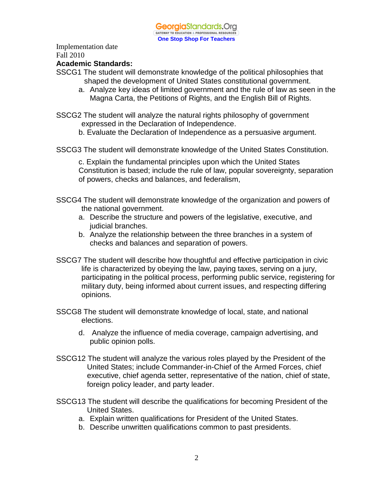

#### **Academic Standards:**

- SSCG1 The student will demonstrate knowledge of the political philosophies that shaped the development of United States constitutional government.
	- a. Analyze key ideas of limited government and the rule of law as seen in the Magna Carta, the Petitions of Rights, and the English Bill of Rights.
- SSCG2 The student will analyze the natural rights philosophy of government expressed in the Declaration of Independence.
	- b. Evaluate the Declaration of Independence as a persuasive argument.
- SSCG3 The student will demonstrate knowledge of the United States Constitution.

c. Explain the fundamental principles upon which the United States Constitution is based; include the rule of law, popular sovereignty, separation of powers, checks and balances, and federalism,

- SSCG4 The student will demonstrate knowledge of the organization and powers of the national government.
	- a. Describe the structure and powers of the legislative, executive, and judicial branches.
	- b. Analyze the relationship between the three branches in a system of checks and balances and separation of powers.
- SSCG7 The student will describe how thoughtful and effective participation in civic life is characterized by obeying the law, paying taxes, serving on a jury, participating in the political process, performing public service, registering for military duty, being informed about current issues, and respecting differing opinions.
- SSCG8 The student will demonstrate knowledge of local, state, and national elections.
	- d. Analyze the influence of media coverage, campaign advertising, and public opinion polls.
- SSCG12 The student will analyze the various roles played by the President of the United States; include Commander-in-Chief of the Armed Forces, chief executive, chief agenda setter, representative of the nation, chief of state, foreign policy leader, and party leader.
- SSCG13 The student will describe the qualifications for becoming President of the United States.
	- a. Explain written qualifications for President of the United States.
	- b. Describe unwritten qualifications common to past presidents.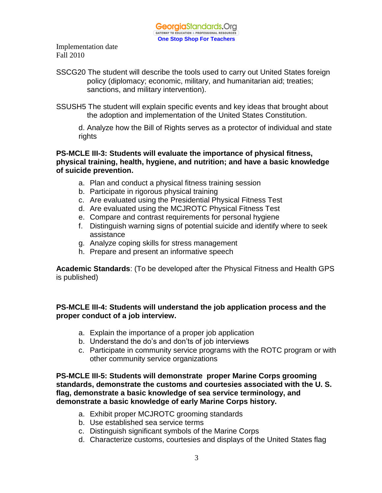- SSCG20 The student will describe the tools used to carry out United States foreign policy (diplomacy; economic, military, and humanitarian aid; treaties; sanctions, and military intervention).
- SSUSH5 The student will explain specific events and key ideas that brought about the adoption and implementation of the United States Constitution.

d. Analyze how the Bill of Rights serves as a protector of individual and state rights

**PS-MCLE III-3: Students will evaluate the importance of physical fitness, physical training, health, hygiene, and nutrition; and have a basic knowledge of suicide prevention.** 

- a. Plan and conduct a physical fitness training session
- b. Participate in rigorous physical training
- c. Are evaluated using the Presidential Physical Fitness Test
- d. Are evaluated using the MCJROTC Physical Fitness Test
- e. Compare and contrast requirements for personal hygiene
- f. Distinguish warning signs of potential suicide and identify where to seek assistance
- g. Analyze coping skills for stress management
- h. Prepare and present an informative speech

**Academic Standards**: (To be developed after the Physical Fitness and Health GPS is published)

**PS-MCLE III-4: Students will understand the job application process and the proper conduct of a job interview.**

- a. Explain the importance of a proper job application
- b. Understand the do's and don'ts of job interviews
- c. Participate in community service programs with the ROTC program or with other community service organizations

**PS-MCLE III-5: Students will demonstrate proper Marine Corps grooming standards, demonstrate the customs and courtesies associated with the U. S. flag, demonstrate a basic knowledge of sea service terminology, and demonstrate a basic knowledge of early Marine Corps history.**

- a. Exhibit proper MCJROTC grooming standards
- b. Use established sea service terms
- c. Distinguish significant symbols of the Marine Corps
- d. Characterize customs, courtesies and displays of the United States flag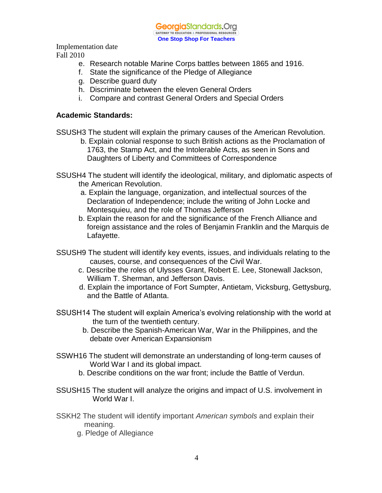**Georgia**Standards.Ora GATEWAY TO EDUCATION & PROFESSIONAL RESOURCE **One Stop Shop For Teachers**

Implementation date

- Fall 2010
	- e. Research notable Marine Corps battles between 1865 and 1916.
	- f. State the significance of the Pledge of Allegiance
	- g. Describe guard duty
	- h. Discriminate between the eleven General Orders
	- i. Compare and contrast General Orders and Special Orders

#### **Academic Standards:**

SSUSH3 The student will explain the primary causes of the American Revolution.

- b. Explain colonial response to such British actions as the Proclamation of 1763, the Stamp Act, and the Intolerable Acts, as seen in Sons and Daughters of Liberty and Committees of Correspondence
- SSUSH4 The student will identify the ideological, military, and diplomatic aspects of the American Revolution.
	- a. Explain the language, organization, and intellectual sources of the Declaration of Independence; include the writing of John Locke and Montesquieu, and the role of Thomas Jefferson
	- b. Explain the reason for and the significance of the French Alliance and foreign assistance and the roles of Benjamin Franklin and the Marquis de Lafayette.
- SSUSH9 The student will identify key events, issues, and individuals relating to the causes, course, and consequences of the Civil War.
	- c. Describe the roles of Ulysses Grant, Robert E. Lee, Stonewall Jackson, William T. Sherman, and Jefferson Davis.
	- d. Explain the importance of Fort Sumpter, Antietam, Vicksburg, Gettysburg, and the Battle of Atlanta.
- SSUSH14 The student will explain America's evolving relationship with the world at the turn of the twentieth century.
	- b. Describe the Spanish-American War, War in the Philippines, and the debate over American Expansionism
- SSWH16 The student will demonstrate an understanding of long-term causes of World War I and its global impact.
	- b. Describe conditions on the war front; include the Battle of Verdun.
- SSUSH15 The student will analyze the origins and impact of U.S. involvement in World War I.
- SSKH2 The student will identify important *American symbols* and explain their meaning.
	- g. Pledge of Allegiance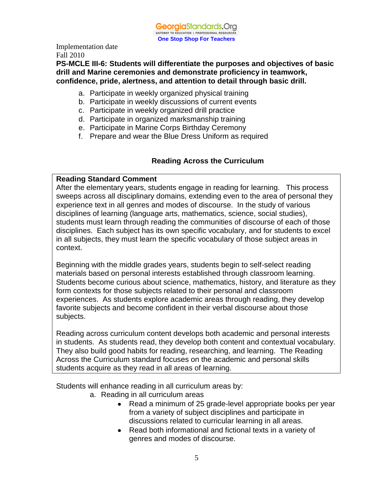#### **PS-MCLE III-6: Students will differentiate the purposes and objectives of basic drill and Marine ceremonies and demonstrate proficiency in teamwork, confidence, pride, alertness, and attention to detail through basic drill.**

- a. Participate in weekly organized physical training
- b. Participate in weekly discussions of current events
- c. Participate in weekly organized drill practice
- d. Participate in organized marksmanship training
- e. Participate in Marine Corps Birthday Ceremony
- f. Prepare and wear the Blue Dress Uniform as required

### **Reading Across the Curriculum**

#### **Reading Standard Comment**

After the elementary years, students engage in reading for learning. This process sweeps across all disciplinary domains, extending even to the area of personal they experience text in all genres and modes of discourse. In the study of various disciplines of learning (language arts, mathematics, science, social studies), students must learn through reading the communities of discourse of each of those disciplines. Each subject has its own specific vocabulary, and for students to excel in all subjects, they must learn the specific vocabulary of those subject areas in context.

Beginning with the middle grades years, students begin to self-select reading materials based on personal interests established through classroom learning. Students become curious about science, mathematics, history, and literature as they form contexts for those subjects related to their personal and classroom experiences. As students explore academic areas through reading, they develop favorite subjects and become confident in their verbal discourse about those subjects.

Reading across curriculum content develops both academic and personal interests in students. As students read, they develop both content and contextual vocabulary. They also build good habits for reading, researching, and learning. The Reading Across the Curriculum standard focuses on the academic and personal skills students acquire as they read in all areas of learning.

Students will enhance reading in all curriculum areas by:

- a. Reading in all curriculum areas
	- Read a minimum of 25 grade-level appropriate books per year from a variety of subject disciplines and participate in discussions related to curricular learning in all areas.
	- Read both informational and fictional texts in a variety of genres and modes of discourse.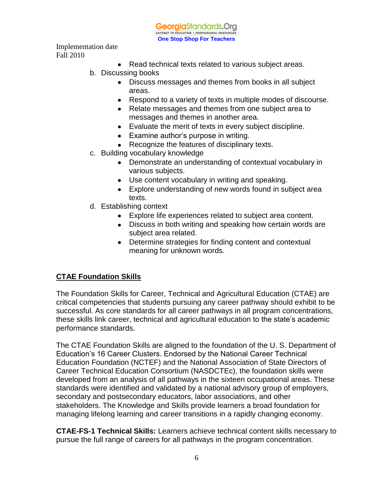

- Read technical texts related to various subject areas.
- b. Discussing books
	- Discuss messages and themes from books in all subject areas.
	- Respond to a variety of texts in multiple modes of discourse.
	- Relate messages and themes from one subject area to messages and themes in another area.
	- Evaluate the merit of texts in every subject discipline.
	- Examine author's purpose in writing.
	- Recognize the features of disciplinary texts.
- c. Building vocabulary knowledge
	- Demonstrate an understanding of contextual vocabulary in various subjects.
	- Use content vocabulary in writing and speaking.
	- Explore understanding of new words found in subject area texts.
- d. Establishing context
	- Explore life experiences related to subject area content.
	- Discuss in both writing and speaking how certain words are subject area related.
	- Determine strategies for finding content and contextual meaning for unknown words.

## **CTAE Foundation Skills**

The Foundation Skills for Career, Technical and Agricultural Education (CTAE) are critical competencies that students pursuing any career pathway should exhibit to be successful. As core standards for all career pathways in all program concentrations, these skills link career, technical and agricultural education to the state's academic performance standards.

The CTAE Foundation Skills are aligned to the foundation of the U. S. Department of Education's 16 Career Clusters. Endorsed by the National Career Technical Education Foundation (NCTEF) and the National Association of State Directors of Career Technical Education Consortium (NASDCTEc), the foundation skills were developed from an analysis of all pathways in the sixteen occupational areas. These standards were identified and validated by a national advisory group of employers, secondary and postsecondary educators, labor associations, and other stakeholders. The Knowledge and Skills provide learners a broad foundation for managing lifelong learning and career transitions in a rapidly changing economy.

**CTAE-FS-1 Technical Skills:** Learners achieve technical content skills necessary to pursue the full range of careers for all pathways in the program concentration.